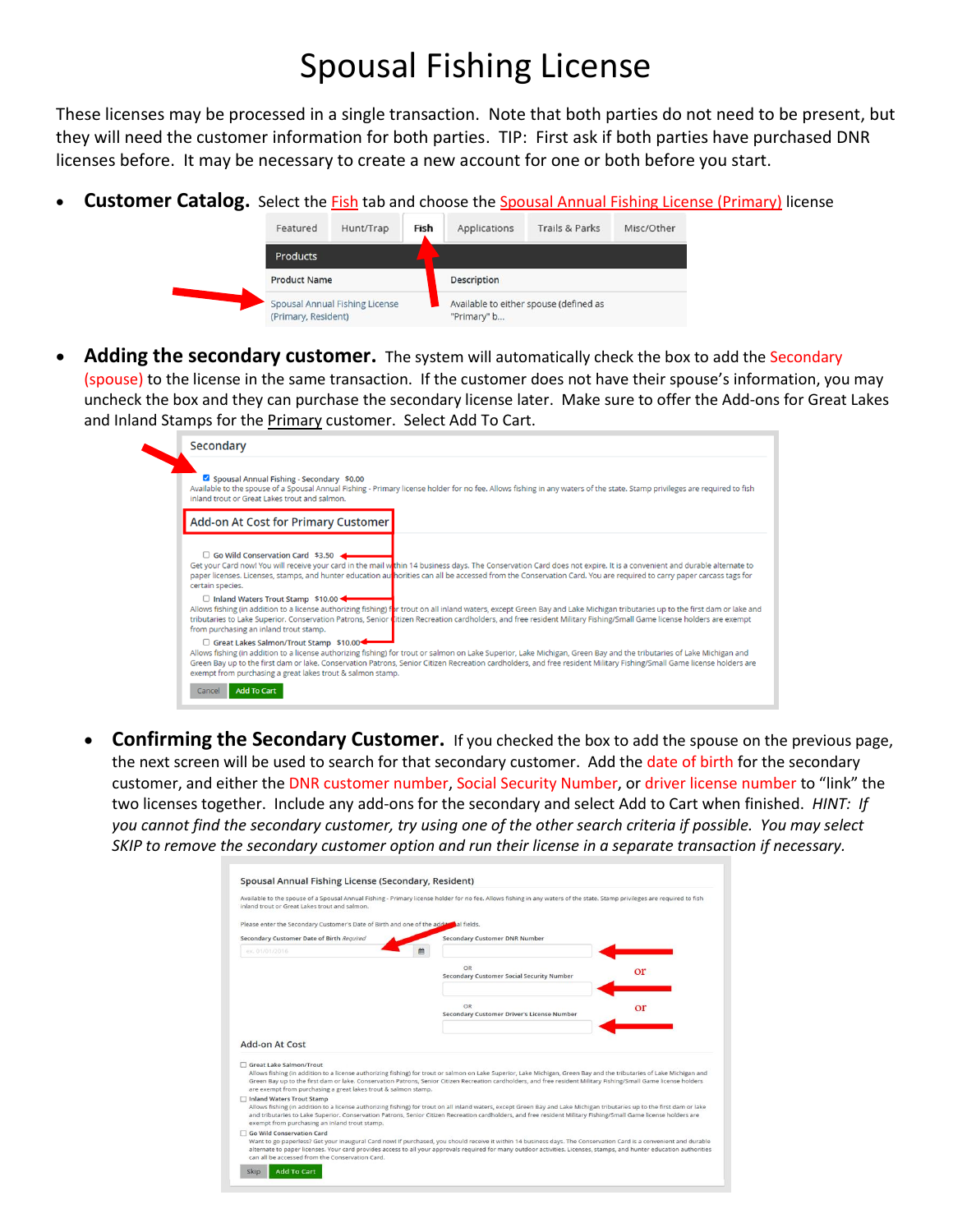# Spousal Fishing License

These licenses may be processed in a single transaction. Note that both parties do not need to be present, but they will need the customer information for both parties. TIP: First ask if both parties have purchased DNR licenses before. It may be necessary to create a new account for one or both before you start.

Customer Catalog. Select the **Fish** tab and choose the **Spousal Annual Fishing License (Primary)** license



Adding the secondary customer. The system will automatically check the box to add the Secondary (spouse) to the license in the same transaction. If the customer does not have their spouse's information, you may uncheck the box and they can purchase the secondary license later. Make sure to offer the Add-ons for Great Lakes and Inland Stamps for the Primary customer. Select Add To Cart.

| Secondary                                                                                                                                                                                                                                                                                                                                                                                                                                                |
|----------------------------------------------------------------------------------------------------------------------------------------------------------------------------------------------------------------------------------------------------------------------------------------------------------------------------------------------------------------------------------------------------------------------------------------------------------|
| Spousal Annual Fishing - Secondary \$0.00<br>Available to the spouse of a Spousal Annual Fishing - Primary license holder for no fee. Allows fishing in any waters of the state. Stamp privileges are required to fish<br>inland trout or Great Lakes trout and salmon.                                                                                                                                                                                  |
| Add-on At Cost for Primary Customer                                                                                                                                                                                                                                                                                                                                                                                                                      |
| $\Box$ Go Wild Conservation Card \$3.50<br>Get your Card now! You will receive your card in the mail within 14 business days. The Conservation Card does not expire. It is a convenient and durable alternate to<br>paper licenses. Licenses, stamps, and hunter education au norities can all be accessed from the Conservation Card. You are required to carry paper carcass tags for<br>certain species.                                              |
| □ Inland Waters Trout Stamp \$10.00<br>Allows fishing (in addition to a license authorizing fishing) for trout on all inland waters, except Green Bay and Lake Michigan tributaries up to the first dam or lake and<br>tributaries to Lake Superior. Conservation Patrons, Senior ditizen Recreation cardholders, and free resident Military Fishing/Small Game license holders are exempt<br>from purchasing an inland trout stamp.                     |
| □ Great Lakes Salmon/Trout Stamp \$10.00<br>Allows fishing (in addition to a license authorizing fishing) for trout or salmon on Lake Superior, Lake Michigan, Green Bay and the tributaries of Lake Michigan and<br>Green Bay up to the first dam or lake. Conservation Patrons, Senior Citizen Recreation cardholders, and free resident Military Fishing/Small Game license holders are<br>exempt from purchasing a great lakes trout & salmon stamp. |
| <b>Add To Cart</b><br>Cancel                                                                                                                                                                                                                                                                                                                                                                                                                             |

• **Confirming the Secondary Customer.** If you checked the box to add the spouse on the previous page, the next screen will be used to search for that secondary customer. Add the date of birth for the secondary customer, and either the DNR customer number, Social Security Number, or driver license number to "link" the two licenses together. Include any add-ons for the secondary and select Add to Cart when finished. *HINT: If you cannot find the secondary customer, try using one of the other search criteria if possible. You may select SKIP to remove the secondary customer option and run their license in a separate transaction if necessary.*

| inland trout or Great Lakes trout and salmon.                                                               | Available to the spouse of a Spousal Annual Fishing - Primary license holder for no fee. Allows fishing in any waters of the state. Stamp privileges are required to fish                                                                                                                                                                    |    |
|-------------------------------------------------------------------------------------------------------------|----------------------------------------------------------------------------------------------------------------------------------------------------------------------------------------------------------------------------------------------------------------------------------------------------------------------------------------------|----|
| Please enter the Secondary Customer's Date of Birth and one of the adducted fields.                         |                                                                                                                                                                                                                                                                                                                                              |    |
| Secondary Customer Date of Birth Required                                                                   | <b>Secondary Customer DNR Number</b>                                                                                                                                                                                                                                                                                                         |    |
| ex. 01/01/2016                                                                                              |                                                                                                                                                                                                                                                                                                                                              |    |
|                                                                                                             | OR<br><b>Secondary Customer Social Security Number</b>                                                                                                                                                                                                                                                                                       | or |
|                                                                                                             |                                                                                                                                                                                                                                                                                                                                              |    |
|                                                                                                             | OR<br>Secondary Customer Driver's License Number                                                                                                                                                                                                                                                                                             | or |
| Add-on At Cost<br>Great Lake Salmon/Trout<br>are exempt from purchasing a great lakes trout & salmon stamp. | Allows fishing (in addition to a license authorizing fishing) for trout or salmon on Lake Superior, Lake Michigan, Green Bay and the tributaries of Lake Michigan and<br>Green Bay up to the first dam or lake. Conservation Patrons, Senior Citizen Recreation cardholders, and free resident Military Fishing/Small Game license holders   |    |
| <b>Inland Waters Trout Stamp</b><br>exempt from purchasing an inland trout stamp.                           | Allows fishing (in addition to a license authorizing fishing) for trout on all inland waters, except Green Bay and Lake Michigan tributaries up to the first dam or lake<br>and tributaries to Lake Superior. Conservation Patrons, Senior Citizen Recreation cardholders, and free resident Military Fishing/Small Game license holders are |    |